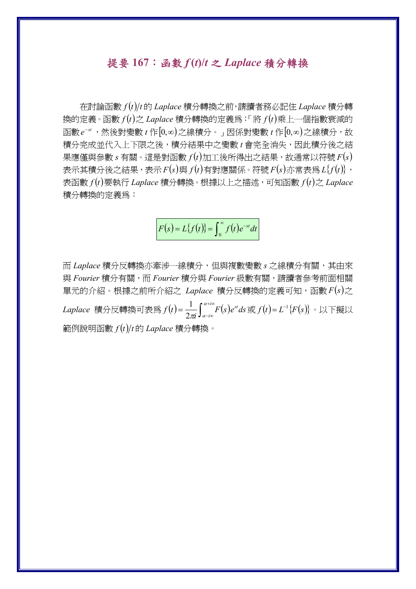## 提要 **167**:函數 *f* **(***t***)/***t* 之 *Laplace* 積分轉換

 在討論函數 *f t t* 的 *Laplace* 積分轉換之前,請讀者務必記住 *Laplace* 積分轉 換的定義。函數 $f(t)$ 之 $L$ aplace 積分轉換的定義為:「將 $f(t)$ 乘上一個指數衰減的 函數  $e^{-st}$ , 然後對變數  $t$  作 $[0, \infty)$ 之線積分。」因係對變數  $t$  作 $[0, \infty)$ 之線積分,故 積分完成並代入上下限之後,積分結果中之變數 *t* 會完全消失,因此積分後之結  $\frac{1}{2}$  果應僅與參數 *s* 有關。這是對函數  $f(t)$ 加工後所得出之結果,故通常以符號  $F(s)$ 表示其積分後之結果,表示  $F(s)$ 與  $f(t)$ 有對應關係。符號  $F(s)$ 亦常表爲  $L\{f(t)\}\;$ 表函數  $f(t)$ 要執行 *Laplace* 積分轉換。根據以上之描述,可知函數  $f(t)$ 之 *Laplace* 積分轉換的定義為:

$$
F(s) = L\{f(t)\} = \int_0^\infty f(t)e^{-st}dt
$$

而 *Laplace* 積分反轉換亦牽涉一線積分,但與複數變數 *s* 之線積分有關,其由來 與 *Fourier* 積分有關,而 *Fourier* 積分與 *Fourier* 級數有關,請讀者參考前面相關 單元的介紹。根據之前所介紹之 Laplace 積分反轉換的定義可知,函數  $F(s)$ 之 *Laplace* 積分反轉換可表為 $f(t)$ = $\frac{1}{2\pi}\!\int_{\alpha-i\infty}^{\alpha+i\infty}\!\!F(s)$  $f(t) = \frac{1}{2\pi i} \int_{\alpha - i\infty}^{\alpha + i\infty} F(s) e^{st} ds$  $\frac{1}{\sqrt{2}} \int_0^{\alpha + i \infty} F(s) e^{st} ds$  或  $f(t) = L^{-1} \{ F(s) \}$  。以下擬以 範例說明函數 *f t t* 的 *Laplace* 積分轉換。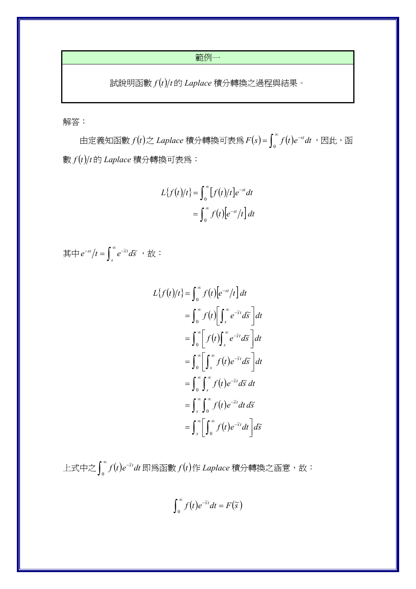範例一

 $\frac{1}{\sqrt{t}}$ 說明函數 $f(t)/t$ 的 Laplace 積分轉換之過程與結果。

解答:

由定義知函數  $f(t)$ 之 Laplace 積分轉換可表為  $F(s)$ =  $\int_0^\infty f(t)e^{-st}dt$  ,因此,函 數 *f t t* 的 *Laplace* 積分轉換可表為:

$$
L\{f(t)/t\} = \int_0^\infty [f(t)/t]e^{-st}dt
$$

$$
= \int_0^\infty f(t)[e^{-st}/t]dt
$$

其中 $e^{-st}/t = \int_s^\infty e^{-\tilde{s}t} d\tilde{s}$  ,故:

$$
L\{f(t)/t\} = \int_0^{\infty} f(t)[e^{-st}/t] dt
$$
  
\n
$$
= \int_0^{\infty} f(t)[\int_s^{\infty} e^{-\tilde{s}t} d\tilde{s}] dt
$$
  
\n
$$
= \int_0^{\infty} \left[ f(t) \int_s^{\infty} e^{-\tilde{s}t} d\tilde{s} \right] dt
$$
  
\n
$$
= \int_0^{\infty} \left[ \int_s^{\infty} f(t) e^{-\tilde{s}t} d\tilde{s} \right] dt
$$
  
\n
$$
= \int_0^{\infty} \int_s^{\infty} f(t) e^{-\tilde{s}t} d\tilde{s} dt
$$
  
\n
$$
= \int_s^{\infty} \int_0^{\infty} f(t) e^{-\tilde{s}t} dt d\tilde{s}
$$
  
\n
$$
= \int_s^{\infty} \left[ \int_0^{\infty} f(t) e^{-\tilde{s}t} dt \right] d\tilde{s}
$$

上式中之 $\int_0^\infty f(t)e^{-t}$ 0 ~ *f t e dt st* 即為函數 *f t*作 *Laplace* 積分轉換之涵意,故:

$$
\int_0^\infty f(t)e^{-\widetilde{s}t}dt = F(\widetilde{s})
$$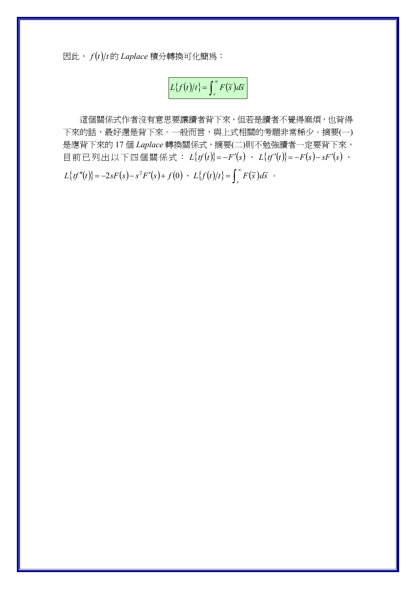因此, *f t t* 的 *Laplace* 積分轉換可化簡為:

$$
L\{f(t)/t\} = \int_{s}^{\infty} F(\widetilde{s}) d\widetilde{s}
$$

這個關係式作者沒有意思要讓讀者背下來,但若是讀者不覺得麻煩,也背得 下來的話,最好還是背下來。一般而言,與上式相關的考題非常稀少。摘要(一) 是應背下來的 17個 Laplace 轉換關係式,摘要(二)則不勉強讀者一定要背下來, 目前已列出以下四個關係式:  $L{f(t)} = -F'(s) - L{f(t')} = -F(s) - sF'(s)$  $L\{tf''(t)\} = -2sF(s) - s^2F'(s) + f(0) \cdot L\{f(t)/t\} = \int_s^\infty F(\tilde{s})d\tilde{s}$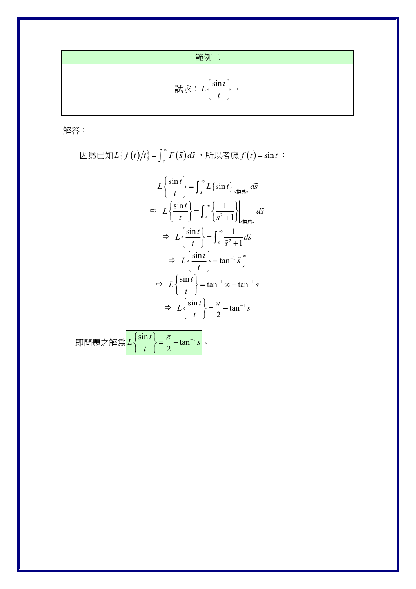範例二

$$
\exists \vec{x} \ddot{x} : L \left\{ \frac{\sin t}{t} \right\} \cdot
$$

解答:

$$
\text{BMS} \equiv \text{SMS} \left\{ f(t)/t \right\} = \int_{s}^{\infty} F(\tilde{s}) d\tilde{s} \quad \text{FMS} \quad f(t) = \sin t
$$

$$
L\left\{\frac{\sin t}{t}\right\} = \int_{s}^{\infty} L\left\{\sin t\right\}_{s \nleftrightarrow \infty} d\tilde{s}
$$
  
\n
$$
\Rightarrow L\left\{\frac{\sin t}{t}\right\} = \int_{s}^{\infty} \left\{\frac{1}{s^{2} + 1}\right\}_{s \nleftrightarrow \infty} d\tilde{s}
$$
  
\n
$$
\Rightarrow L\left\{\frac{\sin t}{t}\right\} = \int_{s}^{\infty} \frac{1}{\tilde{s}^{2} + 1} d\tilde{s}
$$
  
\n
$$
\Rightarrow L\left\{\frac{\sin t}{t}\right\} = \tan^{-1} \tilde{s}\Big|_{s}^{\infty}
$$
  
\n
$$
\Rightarrow L\left\{\frac{\sin t}{t}\right\} = \tan^{-1} \infty - \tan^{-1} s
$$
  
\n
$$
\Rightarrow L\left\{\frac{\sin t}{t}\right\} = \frac{\pi}{2} - \tan^{-1} s
$$

$$
\text{即\textcircled{H}}\left\{\mathbb{E}\left\{\frac{\sin t}{t}\right\}=\frac{\pi}{2}-\tan^{-1}s\right\}.
$$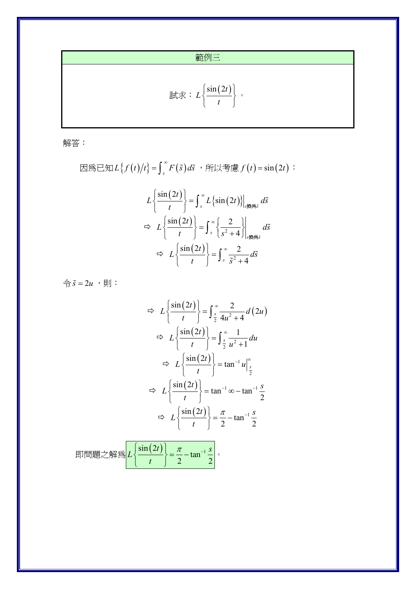範例三

$$
\exists \vec{x} \ddot{x} : L \left\{ \frac{\sin(2t)}{t} \right\} \, \cdot
$$

解答:

$$
L\left\{\frac{\sin(2t)}{t}\right\} = \int_{s}^{\infty} L\left\{\sin(2t)\right\}_{s\neq\in\mathbb{S}^{\tilde{s}}} d\tilde{s}
$$
  
\n
$$
\Rightarrow L\left\{\frac{\sin(2t)}{t}\right\} = \int_{s}^{\infty} \left\{\frac{2}{s^2 + 4}\right\}_{s\neq\in\mathbb{S}^{\tilde{s}}} d\tilde{s}
$$
  
\n
$$
\Rightarrow L\left\{\frac{\sin(2t)}{t}\right\} = \int_{s}^{\infty} \frac{2}{\tilde{s}^2 + 4} d\tilde{s}
$$

令  $\tilde{s} = 2u$ , 則:

$$
\Rightarrow L\left\{\frac{\sin(2t)}{t}\right\} = \int_{\frac{s}{2}}^{\infty} \frac{2}{4u^2 + 4} d(2u)
$$
  

$$
\Rightarrow L\left\{\frac{\sin(2t)}{t}\right\} = \int_{\frac{s}{2}}^{\infty} \frac{1}{u^2 + 1} du
$$
  

$$
\Rightarrow L\left\{\frac{\sin(2t)}{t}\right\} = \tan^{-1} u \Big|_{\frac{s}{2}}^{\infty}
$$
  

$$
\Rightarrow L\left\{\frac{\sin(2t)}{t}\right\} = \tan^{-1} \infty - \tan^{-1} \frac{s}{2}
$$
  

$$
\Rightarrow L\left\{\frac{\sin(2t)}{t}\right\} = \frac{\pi}{2} - \tan^{-1} \frac{s}{2}
$$

$$
\text{{}^{\mathbf{m}}\mathbf{H}\mathbf{H}\mathbf{H}\mathbf{L}\geq\mathbf{H}\mathbf{H}\mathbf{H}\geq\left(\frac{\sin(2t)}{t}\right)=\frac{\pi}{2}-\tan^{-1}\frac{s}{2}.
$$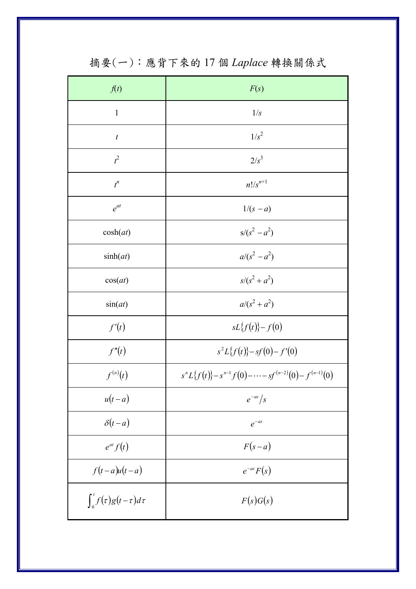| f(t)                             | F(s)                                                           |
|----------------------------------|----------------------------------------------------------------|
| $\mathbf{1}$                     | 1/s                                                            |
| $\boldsymbol{t}$                 | $1/s^2$                                                        |
| $t^2$                            | $2/s^3$                                                        |
| $t^n$                            | $n!/s^{n+1}$                                                   |
| $e^{at}$                         | $1/(s - a)$                                                    |
| cosh(at)                         | $s/(s^2 - a^2)$                                                |
| sinh(at)                         | $a/(s^2 - a^2)$                                                |
| cos(at)                          | $s/(s^2 + a^2)$                                                |
| sin(at)                          | $a/(s^2 + a^2)$                                                |
| f'(t)                            | $sL{f(t)}-f(0)$                                                |
| f''(t)                           | $s^2L{f(t)}-sf(0)-f'(0)$                                       |
| $f^{(n)}(t)$                     | $s^{n}L\{f(t)\}-s^{n-1}f(0)-\cdots-sf^{(n-2)}(0)-f^{(n-1)}(0)$ |
| $u(t-a)$                         | $e^{-as}/s$                                                    |
| $\delta(t-a)$                    | $e^{-as}$                                                      |
| $e^{at} f(t)$                    | $F(s-a)$                                                       |
| $f(t-a)u(t-a)$                   | $e^{-as}F(s)$                                                  |
| $\int_0^t f(\tau)g(t-\tau)d\tau$ | F(s)G(s)                                                       |

摘要(一):應背下來的17個 Laplace 轉換關係式